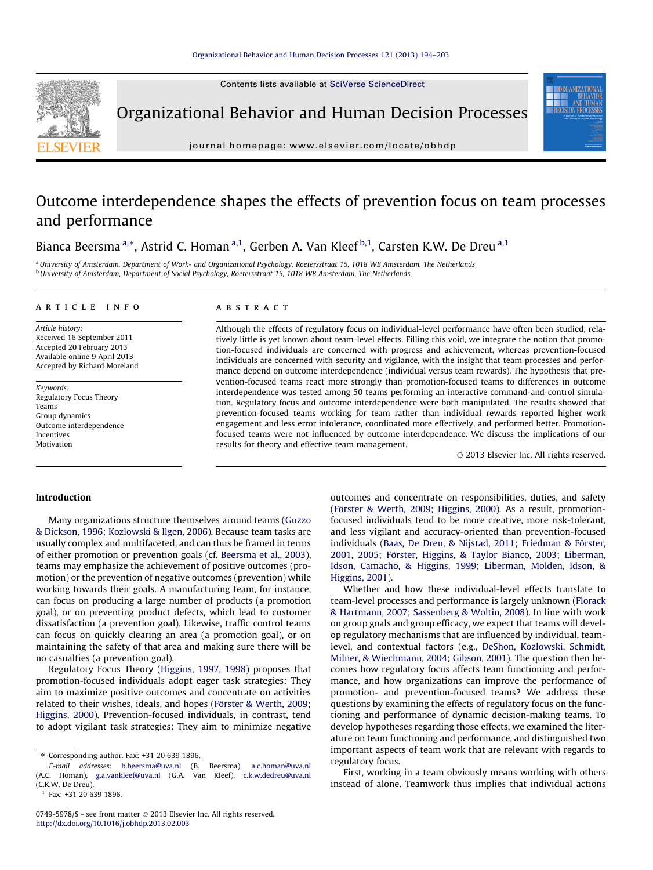Contents lists available at [SciVerse ScienceDirect](http://www.sciencedirect.com/science/journal/07495978)



Organizational Behavior and Human Decision Processes

journal homepage: [www.elsevier.com/locate/obhdp](http://www.elsevier.com/locate/obhdp)

## Outcome interdependence shapes the effects of prevention focus on team processes and performance

Bianca Beersma <sup>a,</sup>\*, Astrid C. Homan <sup>a,1</sup>, Gerben A. Van Kleef <sup>b,1</sup>, Carsten K.W. De Dreu <sup>a,1</sup>

a University of Amsterdam, Department of Work- and Organizational Psychology, Roetersstraat 15, 1018 WB Amsterdam, The Netherlands <sup>b</sup> University of Amsterdam, Department of Social Psychology, Roetersstraat 15, 1018 WB Amsterdam, The Netherlands

#### article info

Article history: Received 16 September 2011 Accepted 20 February 2013 Available online 9 April 2013 Accepted by Richard Moreland

Keywords: Regulatory Focus Theory Teams Group dynamics Outcome interdependence Incentives Motivation

#### ABSTRACT

Although the effects of regulatory focus on individual-level performance have often been studied, relatively little is yet known about team-level effects. Filling this void, we integrate the notion that promotion-focused individuals are concerned with progress and achievement, whereas prevention-focused individuals are concerned with security and vigilance, with the insight that team processes and performance depend on outcome interdependence (individual versus team rewards). The hypothesis that prevention-focused teams react more strongly than promotion-focused teams to differences in outcome interdependence was tested among 50 teams performing an interactive command-and-control simulation. Regulatory focus and outcome interdependence were both manipulated. The results showed that prevention-focused teams working for team rather than individual rewards reported higher work engagement and less error intolerance, coordinated more effectively, and performed better. Promotionfocused teams were not influenced by outcome interdependence. We discuss the implications of our results for theory and effective team management.

- 2013 Elsevier Inc. All rights reserved.

#### Introduction

Many organizations structure themselves around teams [\(Guzzo](#page--1-0) [& Dickson, 1996; Kozlowski & Ilgen, 2006](#page--1-0)). Because team tasks are usually complex and multifaceted, and can thus be framed in terms of either promotion or prevention goals (cf. [Beersma et al., 2003\)](#page--1-0), teams may emphasize the achievement of positive outcomes (promotion) or the prevention of negative outcomes (prevention) while working towards their goals. A manufacturing team, for instance, can focus on producing a large number of products (a promotion goal), or on preventing product defects, which lead to customer dissatisfaction (a prevention goal). Likewise, traffic control teams can focus on quickly clearing an area (a promotion goal), or on maintaining the safety of that area and making sure there will be no casualties (a prevention goal).

Regulatory Focus Theory ([Higgins, 1997, 1998](#page--1-0)) proposes that promotion-focused individuals adopt eager task strategies: They aim to maximize positive outcomes and concentrate on activities related to their wishes, ideals, and hopes ([Förster & Werth, 2009;](#page--1-0) [Higgins, 2000\)](#page--1-0). Prevention-focused individuals, in contrast, tend to adopt vigilant task strategies: They aim to minimize negative outcomes and concentrate on responsibilities, duties, and safety ([Förster & Werth, 2009; Higgins, 2000\)](#page--1-0). As a result, promotionfocused individuals tend to be more creative, more risk-tolerant, and less vigilant and accuracy-oriented than prevention-focused individuals ([Baas, De Dreu, & Nijstad, 2011; Friedman & Förster,](#page--1-0) [2001, 2005; Förster, Higgins, & Taylor Bianco, 2003; Liberman,](#page--1-0) [Idson, Camacho, & Higgins, 1999; Liberman, Molden, Idson, &](#page--1-0) [Higgins, 2001\)](#page--1-0).

Whether and how these individual-level effects translate to team-level processes and performance is largely unknown ([Florack](#page--1-0) [& Hartmann, 2007; Sassenberg & Woltin, 2008](#page--1-0)). In line with work on group goals and group efficacy, we expect that teams will develop regulatory mechanisms that are influenced by individual, teamlevel, and contextual factors (e.g., [DeShon, Kozlowski, Schmidt,](#page--1-0) [Milner, & Wiechmann, 2004; Gibson, 2001](#page--1-0)). The question then becomes how regulatory focus affects team functioning and performance, and how organizations can improve the performance of promotion- and prevention-focused teams? We address these questions by examining the effects of regulatory focus on the functioning and performance of dynamic decision-making teams. To develop hypotheses regarding those effects, we examined the literature on team functioning and performance, and distinguished two important aspects of team work that are relevant with regards to regulatory focus.

First, working in a team obviously means working with others instead of alone. Teamwork thus implies that individual actions

<sup>⇑</sup> Corresponding author. Fax: +31 20 639 1896.

E-mail addresses: [b.beersma@uva.nl](mailto:b.beersma@uva.nl) (B. Beersma), [a.c.homan@uva.nl](mailto:a.c.homan@uva.nl                 ) (A.C. Homan), [g.a.vankleef@uva.nl](mailto:g.a.vankleef@uva.nl) (G.A. Van Kleef), [c.k.w.dedreu@uva.nl](mailto:c.k.w.dedreu@uva.nl      ) (C.K.W. De Dreu).

<sup>1</sup> Fax: +31 20 639 1896.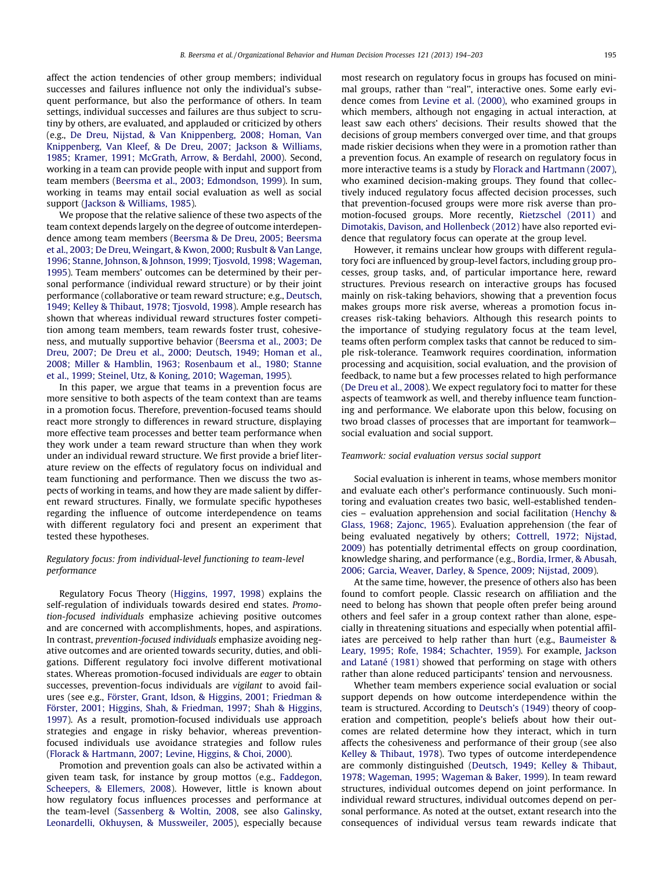affect the action tendencies of other group members; individual successes and failures influence not only the individual's subsequent performance, but also the performance of others. In team settings, individual successes and failures are thus subject to scrutiny by others, are evaluated, and applauded or criticized by others (e.g., [De Dreu, Nijstad, & Van Knippenberg, 2008; Homan, Van](#page--1-0) [Knippenberg, Van Kleef, & De Dreu, 2007; Jackson & Williams,](#page--1-0) [1985; Kramer, 1991; McGrath, Arrow, & Berdahl, 2000](#page--1-0)). Second, working in a team can provide people with input and support from team members ([Beersma et al., 2003; Edmondson, 1999](#page--1-0)). In sum, working in teams may entail social evaluation as well as social support [\(Jackson & Williams, 1985](#page--1-0)).

We propose that the relative salience of these two aspects of the team context depends largely on the degree of outcome interdependence among team members [\(Beersma & De Dreu, 2005; Beersma](#page--1-0) [et al., 2003; De Dreu, Weingart, & Kwon, 2000; Rusbult & Van Lange,](#page--1-0) [1996; Stanne, Johnson, & Johnson, 1999; Tjosvold, 1998; Wageman,](#page--1-0) [1995\)](#page--1-0). Team members' outcomes can be determined by their personal performance (individual reward structure) or by their joint performance (collaborative or team reward structure; e.g., [Deutsch,](#page--1-0) [1949; Kelley & Thibaut, 1978; Tjosvold, 1998\)](#page--1-0). Ample research has shown that whereas individual reward structures foster competition among team members, team rewards foster trust, cohesiveness, and mutually supportive behavior [\(Beersma et al., 2003; De](#page--1-0) [Dreu, 2007; De Dreu et al., 2000; Deutsch, 1949; Homan et al.,](#page--1-0) [2008; Miller & Hamblin, 1963; Rosenbaum et al., 1980; Stanne](#page--1-0) [et al., 1999; Steinel, Utz, & Koning, 2010; Wageman, 1995](#page--1-0)).

In this paper, we argue that teams in a prevention focus are more sensitive to both aspects of the team context than are teams in a promotion focus. Therefore, prevention-focused teams should react more strongly to differences in reward structure, displaying more effective team processes and better team performance when they work under a team reward structure than when they work under an individual reward structure. We first provide a brief literature review on the effects of regulatory focus on individual and team functioning and performance. Then we discuss the two aspects of working in teams, and how they are made salient by different reward structures. Finally, we formulate specific hypotheses regarding the influence of outcome interdependence on teams with different regulatory foci and present an experiment that tested these hypotheses.

### Regulatory focus: from individual-level functioning to team-level performance

Regulatory Focus Theory ([Higgins, 1997, 1998](#page--1-0)) explains the self-regulation of individuals towards desired end states. Promotion-focused individuals emphasize achieving positive outcomes and are concerned with accomplishments, hopes, and aspirations. In contrast, prevention-focused individuals emphasize avoiding negative outcomes and are oriented towards security, duties, and obligations. Different regulatory foci involve different motivational states. Whereas promotion-focused individuals are eager to obtain successes, prevention-focus individuals are vigilant to avoid failures (see e.g., [Förster, Grant, Idson, & Higgins, 2001; Friedman &](#page--1-0) [Förster, 2001; Higgins, Shah, & Friedman, 1997; Shah & Higgins,](#page--1-0) [1997\)](#page--1-0). As a result, promotion-focused individuals use approach strategies and engage in risky behavior, whereas preventionfocused individuals use avoidance strategies and follow rules ([Florack & Hartmann, 2007; Levine, Higgins, & Choi, 2000\)](#page--1-0).

Promotion and prevention goals can also be activated within a given team task, for instance by group mottos (e.g., [Faddegon,](#page--1-0) [Scheepers, & Ellemers, 2008](#page--1-0)). However, little is known about how regulatory focus influences processes and performance at the team-level ([Sassenberg & Woltin, 2008,](#page--1-0) see also [Galinsky,](#page--1-0) [Leonardelli, Okhuysen, & Mussweiler, 2005](#page--1-0)), especially because most research on regulatory focus in groups has focused on minimal groups, rather than ''real'', interactive ones. Some early evidence comes from [Levine et al. \(2000\),](#page--1-0) who examined groups in which members, although not engaging in actual interaction, at least saw each others' decisions. Their results showed that the decisions of group members converged over time, and that groups made riskier decisions when they were in a promotion rather than a prevention focus. An example of research on regulatory focus in more interactive teams is a study by [Florack and Hartmann \(2007\),](#page--1-0) who examined decision-making groups. They found that collectively induced regulatory focus affected decision processes, such that prevention-focused groups were more risk averse than promotion-focused groups. More recently, [Rietzschel \(2011\)](#page--1-0) and [Dimotakis, Davison, and Hollenbeck \(2012\)](#page--1-0) have also reported evidence that regulatory focus can operate at the group level.

However, it remains unclear how groups with different regulatory foci are influenced by group-level factors, including group processes, group tasks, and, of particular importance here, reward structures. Previous research on interactive groups has focused mainly on risk-taking behaviors, showing that a prevention focus makes groups more risk averse, whereas a promotion focus increases risk-taking behaviors. Although this research points to the importance of studying regulatory focus at the team level, teams often perform complex tasks that cannot be reduced to simple risk-tolerance. Teamwork requires coordination, information processing and acquisition, social evaluation, and the provision of feedback, to name but a few processes related to high performance ([De Dreu et al., 2008\)](#page--1-0). We expect regulatory foci to matter for these aspects of teamwork as well, and thereby influence team functioning and performance. We elaborate upon this below, focusing on two broad classes of processes that are important for teamwork social evaluation and social support.

#### Teamwork: social evaluation versus social support

Social evaluation is inherent in teams, whose members monitor and evaluate each other's performance continuously. Such monitoring and evaluation creates two basic, well-established tendencies – evaluation apprehension and social facilitation ([Henchy &](#page--1-0) [Glass, 1968; Zajonc, 1965](#page--1-0)). Evaluation apprehension (the fear of being evaluated negatively by others; [Cottrell, 1972; Nijstad,](#page--1-0) [2009](#page--1-0)) has potentially detrimental effects on group coordination, knowledge sharing, and performance (e.g., [Bordia, Irmer, & Abusah,](#page--1-0) [2006; Garcia, Weaver, Darley, & Spence, 2009; Nijstad, 2009](#page--1-0)).

At the same time, however, the presence of others also has been found to comfort people. Classic research on affiliation and the need to belong has shown that people often prefer being around others and feel safer in a group context rather than alone, especially in threatening situations and especially when potential affiliates are perceived to help rather than hurt (e.g., [Baumeister &](#page--1-0) [Leary, 1995; Rofe, 1984; Schachter, 1959](#page--1-0)). For example, [Jackson](#page--1-0) [and Latané \(1981\)](#page--1-0) showed that performing on stage with others rather than alone reduced participants' tension and nervousness.

Whether team members experience social evaluation or social support depends on how outcome interdependence within the team is structured. According to [Deutsch's \(1949\)](#page--1-0) theory of cooperation and competition, people's beliefs about how their outcomes are related determine how they interact, which in turn affects the cohesiveness and performance of their group (see also [Kelley & Thibaut, 1978\)](#page--1-0). Two types of outcome interdependence are commonly distinguished ([Deutsch, 1949; Kelley & Thibaut,](#page--1-0) [1978; Wageman, 1995; Wageman & Baker, 1999\)](#page--1-0). In team reward structures, individual outcomes depend on joint performance. In individual reward structures, individual outcomes depend on personal performance. As noted at the outset, extant research into the consequences of individual versus team rewards indicate that